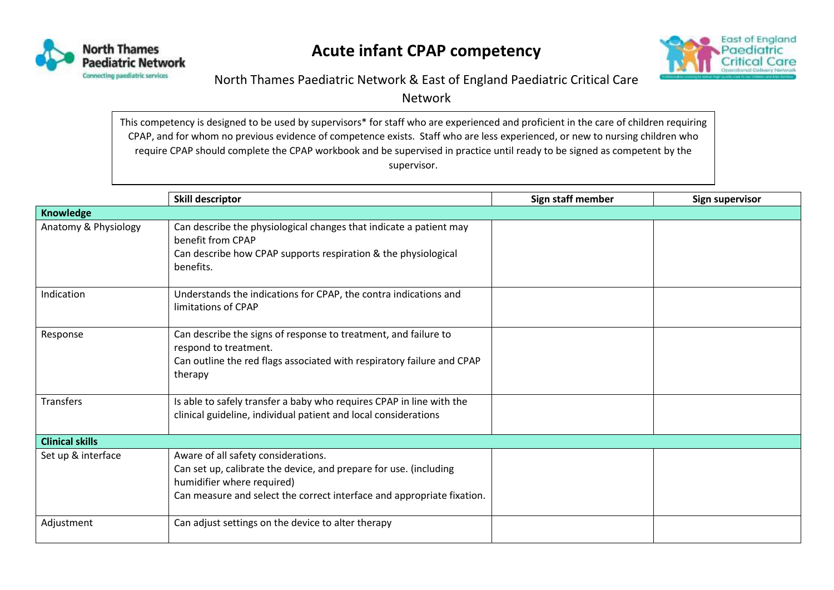

## **Acute infant CPAP competency**



## North Thames Paediatric Network & East of England Paediatric Critical Care

Network

This competency is designed to be used by supervisors\* for staff who are experienced and proficient in the care of children requiring CPAP, and for whom no previous evidence of competence exists. Staff who are less experienced, or new to nursing children who require CPAP should complete the CPAP workbook and be supervised in practice until ready to be signed as competent by the supervisor.

|                        | Skill descriptor                                                                                                                                                                                                 | Sign staff member | <b>Sign supervisor</b> |  |  |  |
|------------------------|------------------------------------------------------------------------------------------------------------------------------------------------------------------------------------------------------------------|-------------------|------------------------|--|--|--|
| <b>Knowledge</b>       |                                                                                                                                                                                                                  |                   |                        |  |  |  |
| Anatomy & Physiology   | Can describe the physiological changes that indicate a patient may<br>benefit from CPAP<br>Can describe how CPAP supports respiration & the physiological<br>benefits.                                           |                   |                        |  |  |  |
| Indication             | Understands the indications for CPAP, the contra indications and<br>limitations of CPAP                                                                                                                          |                   |                        |  |  |  |
| Response               | Can describe the signs of response to treatment, and failure to<br>respond to treatment.<br>Can outline the red flags associated with respiratory failure and CPAP<br>therapy                                    |                   |                        |  |  |  |
| Transfers              | Is able to safely transfer a baby who requires CPAP in line with the<br>clinical guideline, individual patient and local considerations                                                                          |                   |                        |  |  |  |
| <b>Clinical skills</b> |                                                                                                                                                                                                                  |                   |                        |  |  |  |
| Set up & interface     | Aware of all safety considerations.<br>Can set up, calibrate the device, and prepare for use. (including<br>humidifier where required)<br>Can measure and select the correct interface and appropriate fixation. |                   |                        |  |  |  |
| Adjustment             | Can adjust settings on the device to alter therapy                                                                                                                                                               |                   |                        |  |  |  |